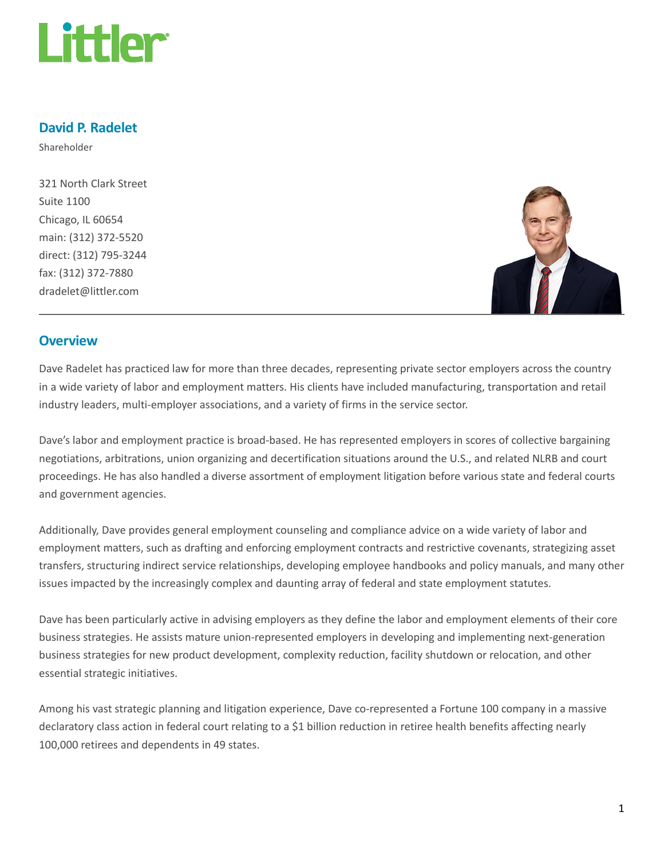

## David P. Radelet

Shareholder

321 North Clark Street Suite 1100 Chicago, IL 60654 main: (312) 372-5520 direct: (312) 795-3244 fax: (312) 372-7880 dradelet@littler.com



## **Overview**

Dave Radelet has practiced law for more than three decades, representing private sector employers across the country in a wide variety of labor and employment matters. His clients have included manufacturing, transportation and retail industry leaders, multi-employer associations, and a variety of firms in the service sector.

Dave's labor and employment practice is broad-based. He has represented employers in scores of collective bargaining negotiations, arbitrations, union organizing and decertification situations around the U.S., and related NLRB and court proceedings. He has also handled a diverse assortment of employment litigation before various state and federal courts and government agencies.

Additionally, Dave provides general employment counseling and compliance advice on a wide variety of labor and employment matters, such as drafting and enforcing employment contracts and restrictive covenants, strategizing asset transfers, structuring indirect service relationships, developing employee handbooks and policy manuals, and many other issues impacted by the increasingly complex and daunting array of federal and state employment statutes.

Dave has been particularly active in advising employers as they define the labor and employment elements of their core business strategies. He assists mature union-represented employers in developing and implementing next-generation business strategies for new product development, complexity reduction, facility shutdown or relocation, and other essential strategic initiatives.

Among his vast strategic planning and litigation experience, Dave co-represented a Fortune 100 company in a massive declaratory class action in federal court relating to a \$1 billion reduction in retiree health benefits affecting nearly 100,000 retirees and dependents in 49 states.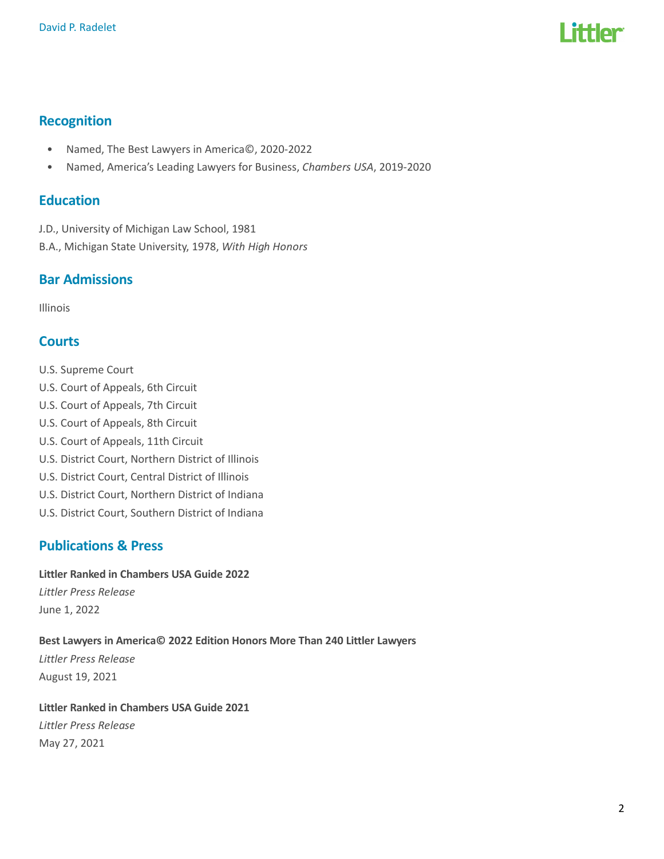# l ittler

# Recognition

- Named, The Best Lawyers in America©, 2020-2022
- Named, America's Leading Lawyers for Business, Chambers USA, 2019-2020

## Education

J.D., University of Michigan Law School, 1981 B.A., Michigan State University, 1978, With High Honors

# Bar Admissions

Illinois

# **Courts**

U.S. Supreme Court U.S. Court of Appeals, 6th Circuit U.S. Court of Appeals, 7th Circuit U.S. Court of Appeals, 8th Circuit U.S. Court of Appeals, 11th Circuit U.S. District Court, Northern District of Illinois U.S. District Court, Central District of Illinois U.S. District Court, Northern District of Indiana U.S. District Court, Southern District of Indiana

# Publications & Press

### Littler Ranked in Chambers USA Guide 2022

Littler Press Release June 1, 2022

### Best Lawyers in America© 2022 Edition Honors More Than 240 Littler Lawyers

Littler Press Release August 19, 2021

Littler Ranked in Chambers USA Guide 2021 Littler Press Release May 27, 2021